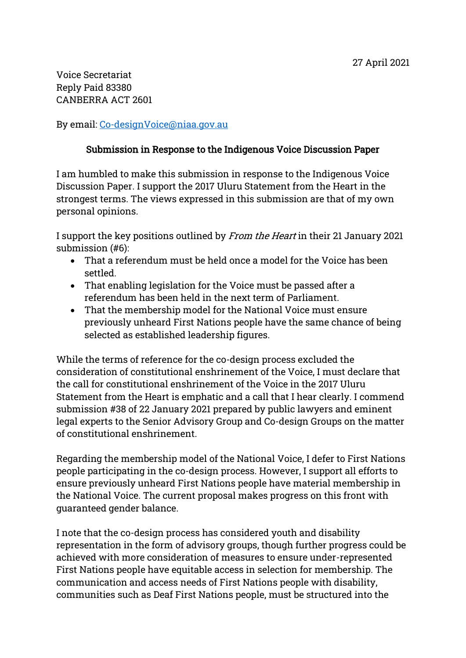Voice Secretariat Reply Paid 83380 CANBERRA ACT 2601

By email: [Co-designVoice@niaa.gov.au](mailto:Co-designVoice@niaa.gov.au)

## Submission in Response to the Indigenous Voice Discussion Paper

I am humbled to make this submission in response to the Indigenous Voice Discussion Paper. I support the 2017 Uluru Statement from the Heart in the strongest terms. The views expressed in this submission are that of my own personal opinions.

I support the key positions outlined by From the Heart in their 21 January 2021 submission (#6):

- That a referendum must be held once a model for the Voice has been settled.
- That enabling legislation for the Voice must be passed after a referendum has been held in the next term of Parliament.
- That the membership model for the National Voice must ensure previously unheard First Nations people have the same chance of being selected as established leadership figures.

While the terms of reference for the co-design process excluded the consideration of constitutional enshrinement of the Voice, I must declare that the call for constitutional enshrinement of the Voice in the 2017 Uluru Statement from the Heart is emphatic and a call that I hear clearly. I commend submission #38 of 22 January 2021 prepared by public lawyers and eminent legal experts to the Senior Advisory Group and Co-design Groups on the matter of constitutional enshrinement.

Regarding the membership model of the National Voice, I defer to First Nations people participating in the co-design process. However, I support all efforts to ensure previously unheard First Nations people have material membership in the National Voice. The current proposal makes progress on this front with guaranteed gender balance.

I note that the co-design process has considered youth and disability representation in the form of advisory groups, though further progress could be achieved with more consideration of measures to ensure under-represented First Nations people have equitable access in selection for membership. The communication and access needs of First Nations people with disability, communities such as Deaf First Nations people, must be structured into the